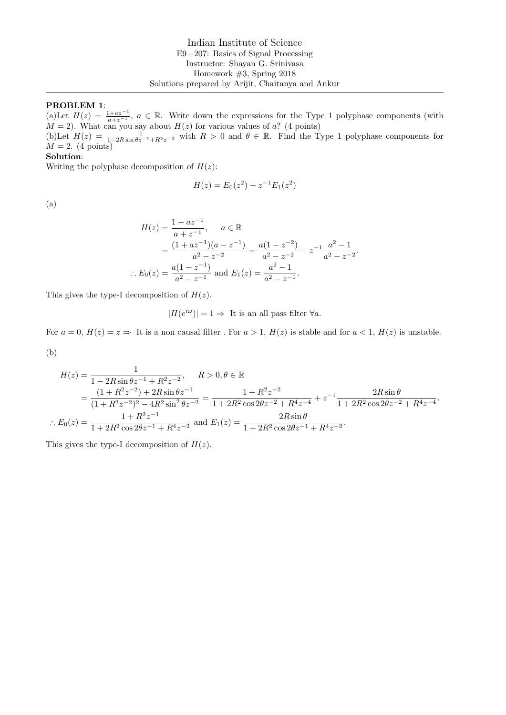# PROBLEM 1:

(a)Let  $H(z) = \frac{1+az^{-1}}{a+z^{-1}}$ ,  $a \in \mathbb{R}$ . Write down the expressions for the Type 1 polyphase components (with  $M = 2$ ). What can you say about  $H(z)$  for various values of a? (4 points)

(b)Let  $H(z) = \frac{1}{1-2R\sin\theta z^{-1}+R^2z^{-2}}$  with  $R > 0$  and  $\theta \in \mathbb{R}$ . Find the Type 1 polyphase components for  $M = 2.$  (4 points)

#### Solution:

Writing the polyphase decomposition of  $H(z)$ :

$$
H(z) = E_0(z^2) + z^{-1}E_1(z^2)
$$

(a)

$$
H(z) = \frac{1 + az^{-1}}{a + z^{-1}}, \quad a \in \mathbb{R}
$$
  
= 
$$
\frac{(1 + az^{-1})(a - z^{-1})}{a^2 - z^{-2}} = \frac{a(1 - z^{-2})}{a^2 - z^{-2}} + z^{-1} \frac{a^2 - 1}{a^2 - z^{-2}}.
$$
  

$$
\therefore E_0(z) = \frac{a(1 - z^{-1})}{a^2 - z^{-1}} \text{ and } E_1(z) = \frac{a^2 - 1}{a^2 - z^{-1}}.
$$

This gives the type-I decomposition of  $H(z)$ .

 $|H(e^{i\omega})| = 1 \Rightarrow$  It is an all pass filter  $\forall a$ .

For  $a = 0$ ,  $H(z) = z \Rightarrow$  It is a non causal filter. For  $a > 1$ ,  $H(z)$  is stable and for  $a < 1$ ,  $H(z)$  is unstable. (b)

$$
H(z) = \frac{1}{1 - 2R\sin\theta z^{-1} + R^2 z^{-2}}, \qquad R > 0, \theta \in \mathbb{R}
$$
  
= 
$$
\frac{(1 + R^2 z^{-2}) + 2R\sin\theta z^{-1}}{(1 + R^2 z^{-2})^2 - 4R^2 \sin^2\theta z^{-2}} = \frac{1 + R^2 z^{-2}}{1 + 2R^2 \cos 2\theta z^{-2} + R^4 z^{-4}} + z^{-1} \frac{2R\sin\theta}{1 + 2R^2 \cos 2\theta z^{-2} + R^4 z^{-4}}.
$$
  

$$
\therefore E_0(z) = \frac{1 + R^2 z^{-1}}{1 + 2R^2 \cos 2\theta z^{-1} + R^4 z^{-2}} \text{ and } E_1(z) = \frac{2R\sin\theta}{1 + 2R^2 \cos 2\theta z^{-1} + R^4 z^{-2}}.
$$

This gives the type-I decomposition of  $H(z)$ .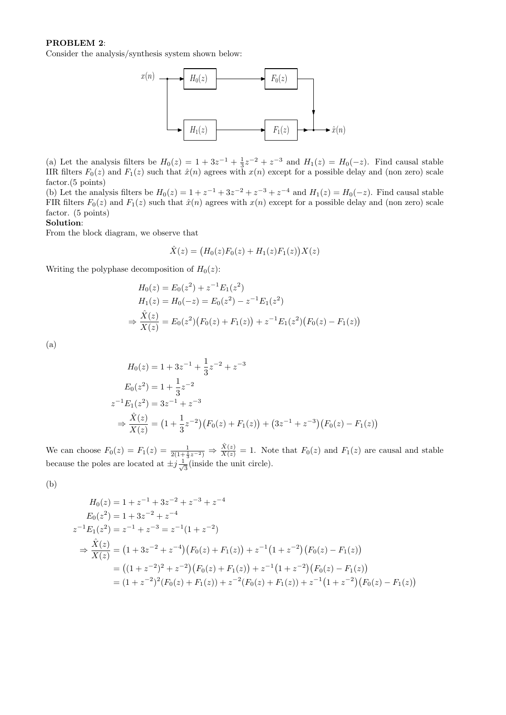### PROBLEM 2:

Consider the analysis/synthesis system shown below:



(a) Let the analysis filters be  $H_0(z) = 1 + 3z^{-1} + \frac{1}{3}z^{-2} + z^{-3}$  and  $H_1(z) = H_0(-z)$ . Find causal stable IIR filters  $F_0(z)$  and  $F_1(z)$  such that  $\hat{x}(n)$  agrees with  $x(n)$  except for a possible delay and (non zero) scale factor.(5 points)

(b) Let the analysis filters be  $H_0(z) = 1 + z^{-1} + 3z^{-2} + z^{-3} + z^{-4}$  and  $H_1(z) = H_0(-z)$ . Find causal stable FIR filters  $F_0(z)$  and  $F_1(z)$  such that  $\hat{x}(n)$  agrees with  $x(n)$  except for a possible delay and (non zero) scale factor. (5 points)

## Solution:

From the block diagram, we observe that

$$
\hat{X}(z) = (H_0(z)F_0(z) + H_1(z)F_1(z))X(z)
$$

Writing the polyphase decomposition of  $H_0(z)$ :

$$
H_0(z) = E_0(z^2) + z^{-1} E_1(z^2)
$$
  
\n
$$
H_1(z) = H_0(-z) = E_0(z^2) - z^{-1} E_1(z^2)
$$
  
\n
$$
\Rightarrow \frac{\hat{X}(z)}{X(z)} = E_0(z^2) (F_0(z) + F_1(z)) + z^{-1} E_1(z^2) (F_0(z) - F_1(z))
$$

(a)

$$
H_0(z) = 1 + 3z^{-1} + \frac{1}{3}z^{-2} + z^{-3}
$$
  
\n
$$
E_0(z^2) = 1 + \frac{1}{3}z^{-2}
$$
  
\n
$$
z^{-1}E_1(z^2) = 3z^{-1} + z^{-3}
$$
  
\n
$$
\Rightarrow \frac{\hat{X}(z)}{X(z)} = \left(1 + \frac{1}{3}z^{-2}\right)\left(F_0(z) + F_1(z)\right) + \left(3z^{-1} + z^{-3}\right)\left(F_0(z) - F_1(z)\right)
$$

We can choose  $F_0(z) = F_1(z) = \frac{1}{2(1+\frac{1}{3}z^{-2})} \Rightarrow \frac{\hat{X}(z)}{X(z)} = 1$ . Note that  $F_0(z)$  and  $F_1(z)$  are causal and stable because the poles are located at  $\pm j\frac{1}{\sqrt{}}$  $\overline{3}$  (inside the unit circle).

(b)

$$
H_0(z) = 1 + z^{-1} + 3z^{-2} + z^{-3} + z^{-4}
$$
  
\n
$$
E_0(z^2) = 1 + 3z^{-2} + z^{-4}
$$
  
\n
$$
z^{-1}E_1(z^2) = z^{-1} + z^{-3} = z^{-1}(1 + z^{-2})
$$
  
\n
$$
\Rightarrow \frac{\hat{X}(z)}{X(z)} = (1 + 3z^{-2} + z^{-4})(F_0(z) + F_1(z)) + z^{-1}(1 + z^{-2})(F_0(z) - F_1(z))
$$
  
\n
$$
= ((1 + z^{-2})^2 + z^{-2})(F_0(z) + F_1(z)) + z^{-1}(1 + z^{-2})(F_0(z) - F_1(z))
$$
  
\n
$$
= (1 + z^{-2})^2(F_0(z) + F_1(z)) + z^{-2}(F_0(z) + F_1(z)) + z^{-1}(1 + z^{-2})(F_0(z) - F_1(z))
$$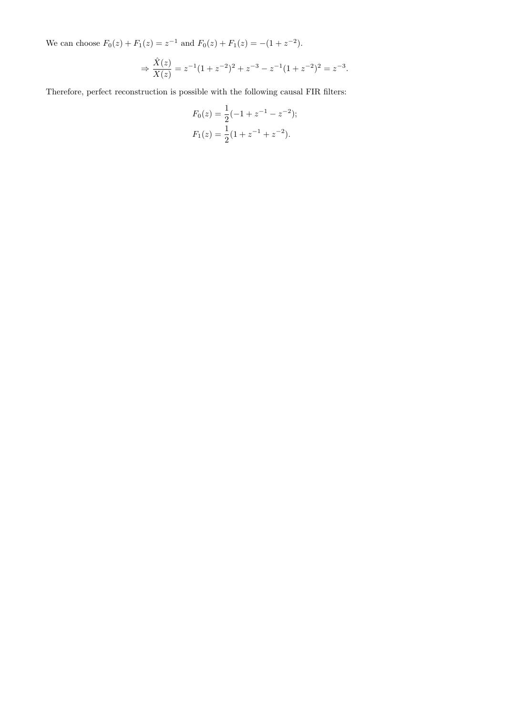We can choose  $F_0(z) + F_1(z) = z^{-1}$  and  $F_0(z) + F_1(z) = -(1 + z^{-2})$ .

$$
\Rightarrow \frac{\hat{X}(z)}{X(z)} = z^{-1}(1+z^{-2})^2 + z^{-3} - z^{-1}(1+z^{-2})^2 = z^{-3}.
$$

Therefore, perfect reconstruction is possible with the following causal FIR filters:

$$
F_0(z) = \frac{1}{2}(-1 + z^{-1} - z^{-2});
$$
  
\n
$$
F_1(z) = \frac{1}{2}(1 + z^{-1} + z^{-2}).
$$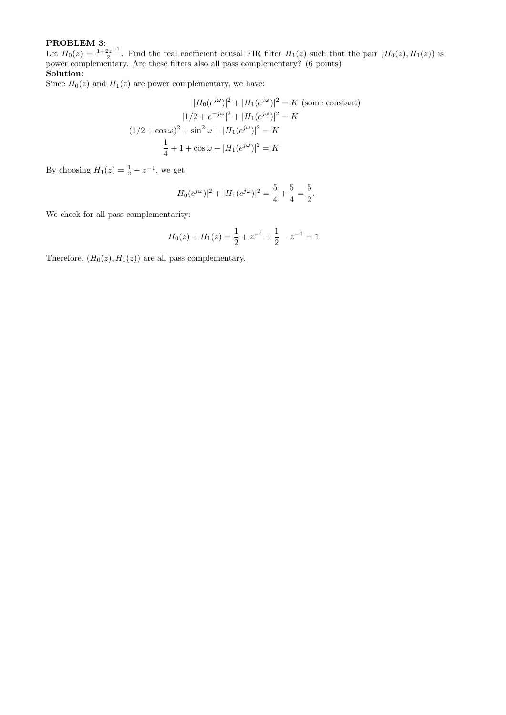# PROBLEM 3:

Let  $H_0(z) = \frac{1+2z^{-1}}{2}$  $\frac{2z}{2}$ . Find the real coefficient causal FIR filter  $H_1(z)$  such that the pair  $(H_0(z), H_1(z))$  is power complementary. Are these filters also all pass complementary? (6 points) Solution:

Since  $H_0(z)$  and  $H_1(z)$  are power complementary, we have:

$$
|H_0(e^{j\omega})|^2 + |H_1(e^{j\omega})|^2 = K \text{ (some constant)}
$$

$$
|1/2 + e^{-j\omega}|^2 + |H_1(e^{j\omega})|^2 = K
$$

$$
(1/2 + \cos \omega)^2 + \sin^2 \omega + |H_1(e^{j\omega})|^2 = K
$$

$$
\frac{1}{4} + 1 + \cos \omega + |H_1(e^{j\omega})|^2 = K
$$

By choosing  $H_1(z) = \frac{1}{2} - z^{-1}$ , we get

$$
|H_0(e^{j\omega})|^2 + |H_1(e^{j\omega})|^2 = \frac{5}{4} + \frac{5}{4} = \frac{5}{2}.
$$

We check for all pass complementarity:

$$
H_0(z) + H_1(z) = \frac{1}{2} + z^{-1} + \frac{1}{2} - z^{-1} = 1.
$$

Therefore,  $(H_0(z), H_1(z))$  are all pass complementary.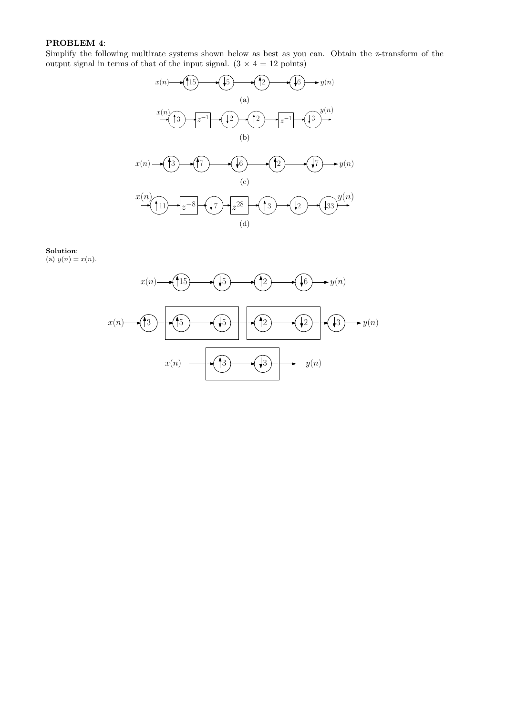## PROBLEM 4:

Simplify the following multirate systems shown below as best as you can. Obtain the z-transform of the output signal in terms of that of the input signal.  $(3 \times 4 = 12 \text{ points})$ 



# Solution:

(a)  $y(n) = x(n)$ .

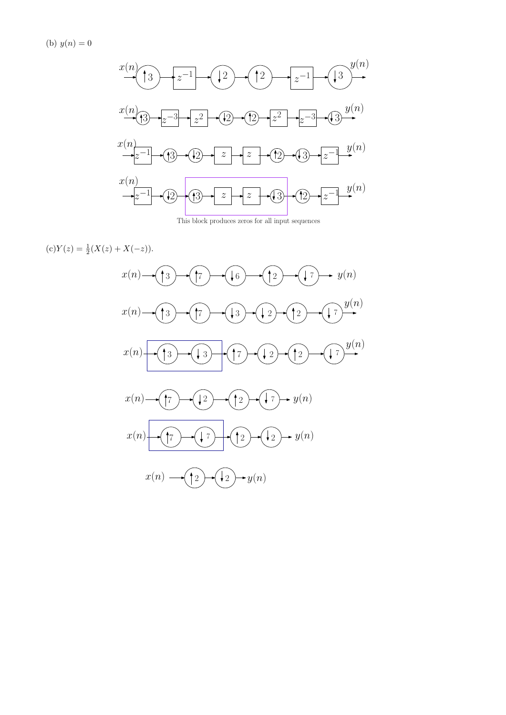(b)  $y(n) = 0$ 



This block produces zeros for all input sequences

 $(c)Y(z) = \frac{1}{2}(X(z) + X(-z)).$ 

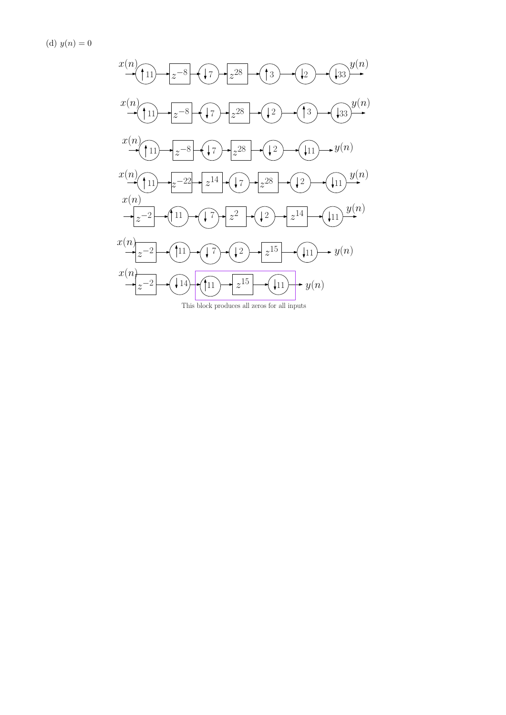(d)  $y(n) = 0$ 



This block produces all zeros for all inputs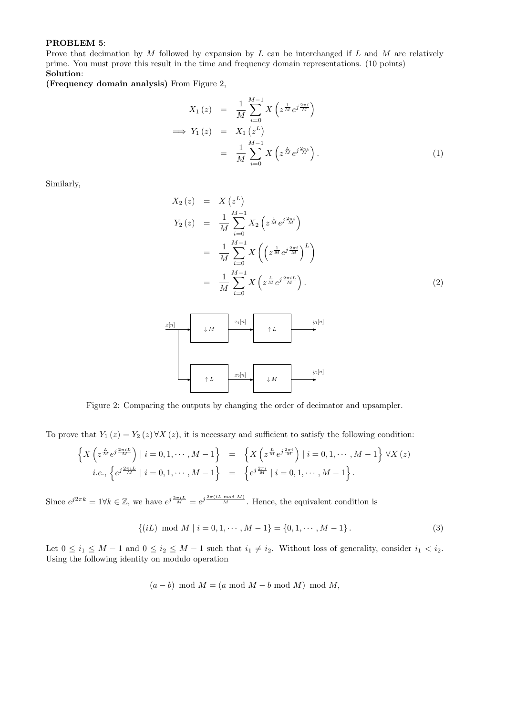#### PROBLEM 5:

Prove that decimation by  $M$  followed by expansion by  $L$  can be interchanged if  $L$  and  $M$  are relatively prime. You must prove this result in the time and frequency domain representations. (10 points) Solution:

(Frequency domain analysis) From Figure 2,

$$
X_1(z) = \frac{1}{M} \sum_{i=0}^{M-1} X\left(z^{\frac{1}{M}} e^{j\frac{2\pi i}{M}}\right)
$$
  
\n
$$
\implies Y_1(z) = X_1(z^L)
$$
  
\n
$$
= \frac{1}{M} \sum_{i=0}^{M-1} X\left(z^{\frac{L}{M}} e^{j\frac{2\pi i}{M}}\right).
$$
 (1)

Similarly,

$$
X_2(z) = X(z^L)
$$
  
\n
$$
Y_2(z) = \frac{1}{M} \sum_{i=0}^{M-1} X_2(z^{\frac{1}{M}} e^{j\frac{2\pi i}{M}})
$$
  
\n
$$
= \frac{1}{M} \sum_{i=0}^{M-1} X\left(\left(z^{\frac{1}{M}} e^{j\frac{2\pi i}{M}}\right)^L\right)
$$
  
\n
$$
= \frac{1}{M} \sum_{i=0}^{M-1} X\left(z^{\frac{L}{M}} e^{j\frac{2\pi i L}{M}}\right).
$$
\n(2)



Figure 2: Comparing the outputs by changing the order of decimator and upsampler.

To prove that  $Y_1(z) = Y_2(z) \forall X(z)$ , it is necessary and sufficient to satisfy the following condition:

$$
\left\{ X \left( z^{\frac{L}{M}} e^{j \frac{2\pi i L}{M}} \right) \mid i = 0, 1, \cdots, M - 1 \right\} = \left\{ X \left( z^{\frac{L}{M}} e^{j \frac{2\pi i}{M}} \right) \mid i = 0, 1, \cdots, M - 1 \right\} \forall X (z)
$$
  
*i.e.*,  $\left\{ e^{j \frac{2\pi i L}{M}} \mid i = 0, 1, \cdots, M - 1 \right\} = \left\{ e^{j \frac{2\pi i}{M}} \mid i = 0, 1, \cdots, M - 1 \right\}.$ 

Since  $e^{j2\pi k} = 1 \forall k \in \mathbb{Z}$ , we have  $e^{j\frac{2\pi i L}{M}} = e^{j\frac{2\pi (iL \mod M)}{M}}$ . Hence, the equivalent condition is

$$
\{(iL) \text{ mod } M \mid i = 0, 1, \cdots, M - 1\} = \{0, 1, \cdots, M - 1\}.
$$
 (3)

Let  $0 \le i_1 \le M - 1$  and  $0 \le i_2 \le M - 1$  such that  $i_1 \ne i_2$ . Without loss of generality, consider  $i_1 < i_2$ . Using the following identity on modulo operation

$$
(a - b) \mod M = (a \mod M - b \mod M) \mod M,
$$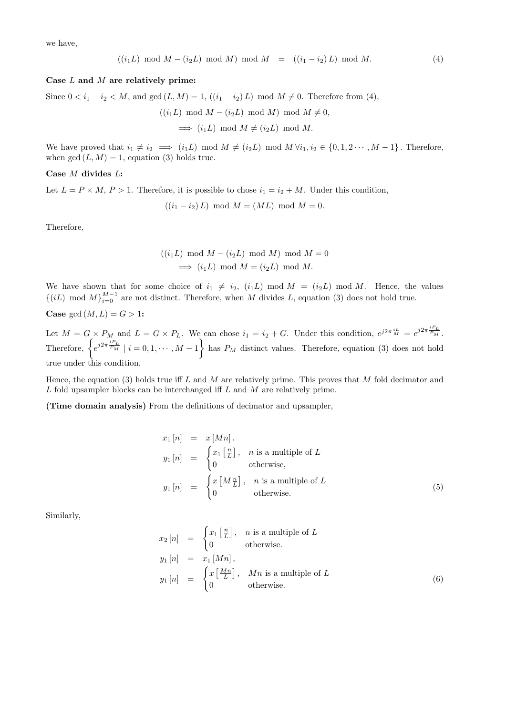we have,

$$
((i_1L) \mod M - (i_2L) \mod M) \mod M = ((i_1 - i_2)L) \mod M.
$$
 (4)

#### Case L and M are relatively prime:

Since  $0 < i_1 - i_2 < M$ , and  $gcd(L, M) = 1$ ,  $((i_1 - i_2) L) \mod M \neq 0$ . Therefore from (4),

 $((i_1L) \mod M - (i_2L) \mod M) \mod M \neq 0,$  $\implies$   $(i_1L) \mod M \neq (i_2L) \mod M$ .

We have proved that  $i_1 \neq i_2 \implies (i_1L) \mod M \neq (i_2L) \mod M \ \forall i_1, i_2 \in \{0, 1, 2 \cdots, M-1\}$ . Therefore, when  $gcd(L, M) = 1$ , equation (3) holds true.

Case M divides L:

Let  $L = P \times M$ ,  $P > 1$ . Therefore, it is possible to chose  $i_1 = i_2 + M$ . Under this condition,

$$
((i_1 - i_2) L) \mod M = (ML) \mod M = 0.
$$

Therefore,

$$
((i_1L) \mod M - (i_2L) \mod M) \mod M = 0
$$
  
 $\implies (i_1L) \mod M = (i_2L) \mod M.$ 

We have shown that for some choice of  $i_1 \neq i_2$ ,  $(i_1L) \mod M = (i_2L) \mod M$ . Hence, the values  $\{(iL) \mod M\}_{i=0}^{M-1}$  are not distinct. Therefore, when M divides L, equation (3) does not hold true.

Case  $gcd(M, L) = G > 1$ :

Let  $M = G \times P_M$  and  $L = G \times P_L$ . We can chose  $i_1 = i_2 + G$ . Under this condition,  $e^{j2\pi \frac{iL}{M}} = e^{j2\pi \frac{iPL}{P_M}}$ . Therefore,  $\left\{e^{j2\pi \frac{iPL}{P_M}} \mid i = 0, 1, \cdots, M-1\right\}$  has  $P_M$  distinct values. Therefore, equation (3) does not hold true under this condition.

Hence, the equation (3) holds true iff L and M are relatively prime. This proves that M fold decimator and L fold upsampler blocks can be interchanged iff L and M are relatively prime.

(Time domain analysis) From the definitions of decimator and upsampler,

$$
x_1[n] = x[Mn].
$$
  
\n
$$
y_1[n] = \begin{cases} x_1 \left[\frac{n}{L}\right], & n \text{ is a multiple of } L \\ 0 & \text{otherwise,} \end{cases}
$$
  
\n
$$
y_1[n] = \begin{cases} x \left[M\frac{n}{L}\right], & n \text{ is a multiple of } L \\ 0 & \text{otherwise.} \end{cases}
$$
 (5)

Similarly,

$$
x_2[n] = \begin{cases} x_1 \left[\frac{n}{L}\right], & n \text{ is a multiple of } L \\ 0 & \text{otherwise.} \end{cases}
$$
  
\n
$$
y_1[n] = x_1[Mn],
$$
  
\n
$$
y_1[n] = \begin{cases} x \left[\frac{Mn}{L}\right], & Mn \text{ is a multiple of } L \\ 0 & \text{otherwise.} \end{cases}
$$
  
\n(6)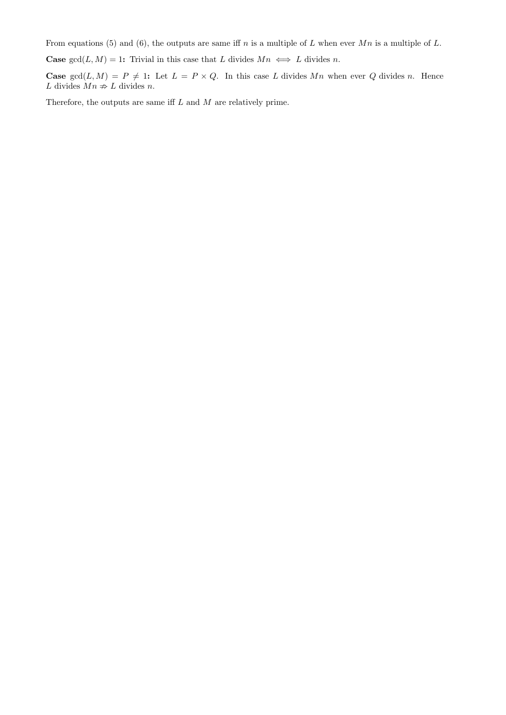From equations (5) and (6), the outputs are same iff n is a multiple of L when ever  $Mn$  is a multiple of L.

**Case**  $gcd(L, M) = 1$ : Trivial in this case that L divides  $Mn \iff L$  divides n.

**Case**  $gcd(L, M) = P \neq 1$ : Let  $L = P \times Q$ . In this case L divides Mn when ever Q divides n. Hence  $L$  divides  $Mn \not\Rightarrow L$  divides  $n.$ 

Therefore, the outputs are same iff  $L$  and  $M$  are relatively prime.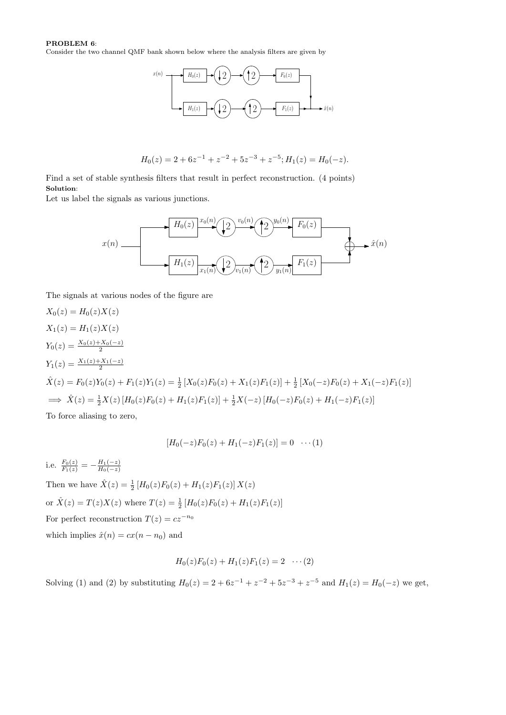### PROBLEM 6:

Consider the two channel QMF bank shown below where the analysis filters are given by



$$
H_0(z) = 2 + 6z^{-1} + z^{-2} + 5z^{-3} + z^{-5}; H_1(z) = H_0(-z).
$$

Find a set of stable synthesis filters that result in perfect reconstruction. (4 points) Solution:

Let us label the signals as various junctions.



The signals at various nodes of the figure are

$$
X_0(z) = H_0(z)X(z)
$$
  
\n
$$
X_1(z) = H_1(z)X(z)
$$
  
\n
$$
Y_0(z) = \frac{X_0(z) + X_0(-z)}{2}
$$
  
\n
$$
\hat{X}(z) = F_0(z)Y_0(z) + F_1(z)Y_1(z) = \frac{1}{2}[X_0(z)F_0(z) + X_1(z)F_1(z)] + \frac{1}{2}[X_0(-z)F_0(z) + X_1(-z)F_1(z)]
$$
  
\n
$$
\implies \hat{X}(z) = \frac{1}{2}X(z)[H_0(z)F_0(z) + H_1(z)F_1(z)] + \frac{1}{2}X(-z)[H_0(-z)F_0(z) + H_1(-z)F_1(z)]
$$

To force aliasing to zero,

$$
[H_0(-z)F_0(z) + H_1(-z)F_1(z)] = 0 \quad \cdots (1)
$$

i.e.  $\frac{F_0(z)}{F_1(z)} = -\frac{H_1(-z)}{H_0(-z)}$  $H_0(-z)$ Then we have  $\hat{X}(z) = \frac{1}{2} [H_0(z) F_0(z) + H_1(z) F_1(z)] X(z)$ or  $\hat{X}(z) = T(z)X(z)$  where  $T(z) = \frac{1}{2}[H_0(z)F_0(z) + H_1(z)F_1(z)]$ For perfect reconstruction  $T(z) = cz^{-n_0}$ which implies  $\hat{x}(n) = cx(n - n_0)$  and

$$
H_0(z)F_0(z) + H_1(z)F_1(z) = 2 \cdots (2)
$$

Solving (1) and (2) by substituting  $H_0(z) = 2 + 6z^{-1} + z^{-2} + 5z^{-3} + z^{-5}$  and  $H_1(z) = H_0(-z)$  we get,